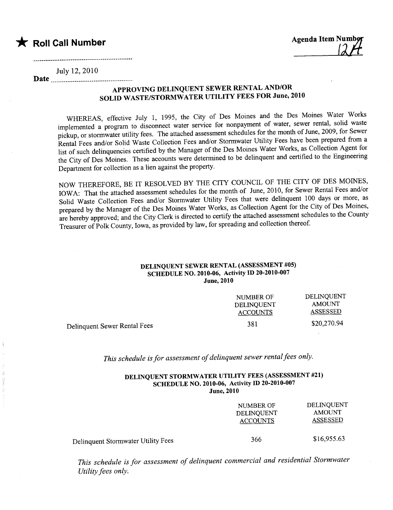**Agenda Item Num** 

July 12, 2010

## APPROVING DELINQUENT SEWER RENTAL AND/OR SOLID WASTE/STORMWATER UTILITY FEES FOR June, 2010

WHEREAS, effective July 1, 1995, the City of Des Moines and the Des Moines Water Works implemented a program to disconnect water service for nonpayment of water, sewer rental, solid waste pickup, or stormwater utility fees. The attached assessment schedules for the month of June, 2009, for Sewer Rental Fees and/or Solid Waste Collection Fees and/or Stormwater Utility Fees have been prepared from a list of such delinquencies certified by the Manager of the Des Moines Water Works, as Collection Agent for the City of Des Moines. These accounts were determined to be delinquent and certified to the Engineering Department for collection as a lien against the property.

NOW THEREFORE, BE IT RESOLVED BY THE CITY COUNCIL OF THE CITY OF DES MOINES, IOWA: That the attached assessment schedules for the month of June, 2010, for Sewer Rental Fees and/or Solid Waste Collection Fees and/or Stormwater Utility Fees that were delinquent 100 days or more, as prepared by the Manager of the Des Moines Water Works, as Collection Agent for the City of Des Moines, are hereby approved; and the City Clerk is directed to certify the attached assessment schedules to the County Treasurer of Polk County, Iowa, as provided by law, for spreading and collection thereof.

### DELINQUENT SEWER RENTAL (ASSESSMENT #05) SCHEDULE NO. 2010-06, Activity ID 20-2010-007 **June, 2010**

| NUMBER OF       | <b>DELINOUENT</b> |
|-----------------|-------------------|
| DELINQUENT      | AMOUNT            |
| <b>ACCOUNTS</b> | ASSESSED          |
| 381             | \$20,270.94       |
|                 |                   |

This schedule is for assessment of delinquent sewer rental fees only.

#### DELINQUENT STORMWATER UTILITY FEES (ASSESSMENT #21) SCHEDULE NO. 2010-06, Activity ID 20-2010-007 **June, 2010**

|                                    | NUMBER OF<br>DELINQUENT<br><b>ACCOUNTS</b> | DELINQUENT<br><b>AMOUNT</b><br><b>ASSESSED</b> |
|------------------------------------|--------------------------------------------|------------------------------------------------|
| Delinquent Stormwater Utility Fees | 366                                        | \$16,955.63                                    |

This schedule is for assessment of delinquent commercial and residential Stormwater Utility fees only.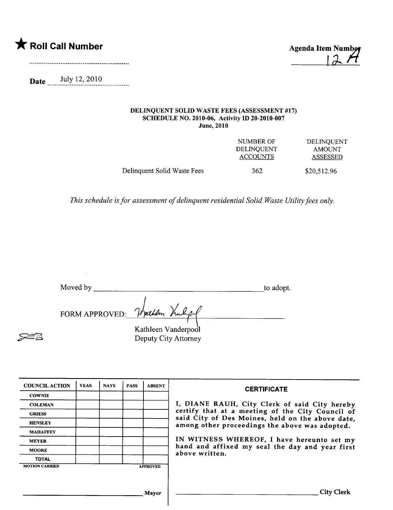

 $12H$ 

Date July 12, 2010

#### DELINQUENT SOLID WASTE FEES (ASSESSMENT #17) SCHEDULE NO. 2010-06, Activity ID 20-2010-007 June, 2010

|                             | NUMBER OF<br><b>DELINOUENT</b><br><b>ACCOUNTS</b> | <b>DELINOUENT</b><br><b>AMOUNT</b><br>ASSESSED |
|-----------------------------|---------------------------------------------------|------------------------------------------------|
| Delinquent Solid Waste Fees | 362                                               | \$20,512.96                                    |

This schedule is for assessment of delinquent residential Solid Waste Utility fees only.

| Moved by | to adopt. |
|----------|-----------|
|          |           |

FORM APPROVED: Vrather Van

 $\geq$   $\geq$ 

Kathleen Vanderpool Deputy City Attorney

| <b>COUNCIL ACTION</b> | <b>YEAS</b> | <b>NAYS</b> | <b>PASS</b> | <b>ABSENT</b>   | <b>CERTIFICATE</b>                                                                                 |
|-----------------------|-------------|-------------|-------------|-----------------|----------------------------------------------------------------------------------------------------|
| <b>COWNIE</b>         |             |             |             |                 |                                                                                                    |
| <b>COLEMAN</b>        |             |             |             |                 | I, DIANE RAUH, City Clerk of said City hereby                                                      |
| <b>GRIESS</b>         |             |             |             |                 | certify that at a meeting of the City Council of                                                   |
| <b>HENSLEY</b>        |             |             |             |                 | said City of Des Moines, held on the above date,<br>among other proceedings the above was adopted. |
| <b>MAHAFFEY</b>       |             |             |             |                 |                                                                                                    |
| <b>MEYER</b>          |             |             |             |                 | IN WITNESS WHEREOF, I have hereunto set my                                                         |
| <b>MOORE</b>          |             |             |             |                 | hand and affixed my seal the day and year first<br>above written.                                  |
| <b>TOTAL</b>          |             |             |             |                 |                                                                                                    |
| <b>MOTION CARRIED</b> |             |             |             | <b>APPROVED</b> |                                                                                                    |
|                       |             |             |             |                 |                                                                                                    |
|                       |             |             |             |                 |                                                                                                    |
|                       |             |             |             | Mayor           | <b>City Clerk</b>                                                                                  |